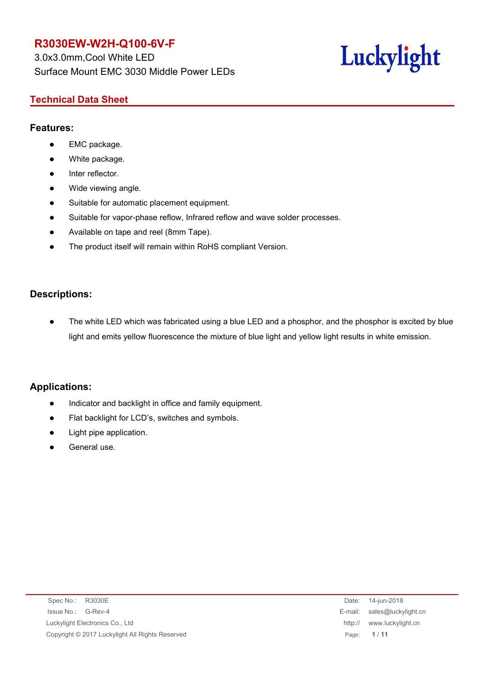3.0x3.0mm,Cool White LED Surface Mount EMC 3030 Middle Power LEDs

# Luckylight

# **Technical Data Sheet**

#### **Features:**

- EMC package.
- White package.
- Inter reflector.
- Wide viewing angle.
- Suitable for automatic placement equipment.
- Suitable for vapor-phase reflow, Infrared reflow and wave solder processes.
- Available on tape and reel (8mm Tape).
- The product itself will remain within RoHS compliant Version.

### **Descriptions:**

 The white LED which was fabricated using a blue LED and a phosphor, and the phosphor is excited by blue light and emits yellow fluorescence the mixture of blue light and yellow light results in white emission.

### **Applications:**

- Indicator and backlight in office and family equipment.
- Flat backlight for LCD's, switches and symbols.
- Light pipe application.
- General use.

| Spec No.: R3030E                                | Date:   | 14-jun-2018                 |
|-------------------------------------------------|---------|-----------------------------|
| Issue No.:<br>G-Rev-4                           |         | E-mail: sales@luckylight.cn |
| Luckylight Electronics Co., Ltd                 | http:// | www.luckylight.cn           |
| Copyright © 2017 Luckylight All Rights Reserved |         | Page: 1/11                  |
|                                                 |         |                             |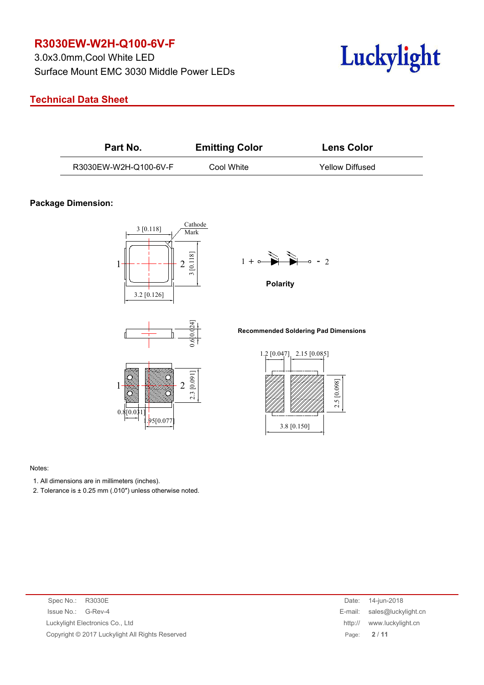3.0x3.0mm,Cool White LED Surface Mount EMC 3030 Middle Power LEDs



#### **Technical Data Sheet**

| Part No.              | <b>Emitting Color</b> | <b>Lens Color</b> |
|-----------------------|-----------------------|-------------------|
| R3030EW-W2H-Q100-6V-F | Cool White            | Yellow Diffused   |

#### **Package Dimension:**





95[0.077



**Polarity**

**Recommended Soldering Pad Dimensions**



#### Notes:

- 1. All dimensions are in millimeters (inches).
- 2. Tolerance is  $\pm$  0.25 mm (.010") unless otherwise noted.

 $0.8[0.03]$ 

| Spec No.: R3030E                                | 14-jun-2018<br>Date:         |
|-------------------------------------------------|------------------------------|
| Issue No.: G-Rev-4                              | E-mail: sales@luckylight.cn  |
| Luckylight Electronics Co., Ltd                 | www.luckylight.cn<br>http:// |
| Copyright © 2017 Luckylight All Rights Reserved | Page: 2/11                   |
|                                                 |                              |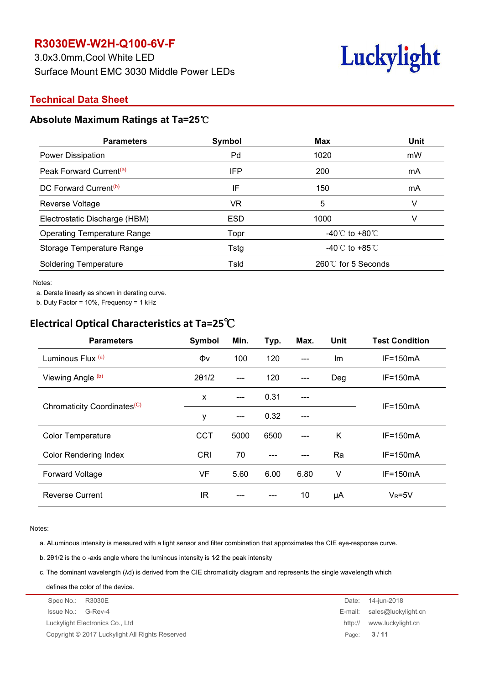3.0x3.0mm,Cool White LED Surface Mount EMC 3030 Middle Power LEDs



#### **Technical Data Sheet**

#### **Absolute Maximum Ratings at Ta=25**℃

| <b>Parameters</b>                   | Symbol     | <b>Max</b>                         | <b>Unit</b> |
|-------------------------------------|------------|------------------------------------|-------------|
| Power Dissipation                   | Pd         | 1020                               | mW          |
| Peak Forward Current <sup>(a)</sup> | <b>IFP</b> | 200                                | mA          |
| DC Forward Current <sup>(b)</sup>   | IF         | 150                                | mA          |
| Reverse Voltage                     | VR.        | 5                                  |             |
| Electrostatic Discharge (HBM)       | <b>ESD</b> | 1000                               |             |
| <b>Operating Temperature Range</b>  | Topr       | -40 $\degree$ C to +80 $\degree$ C |             |
| Storage Temperature Range           | Tstg       | -40 $\degree$ C to +85 $\degree$ C |             |
| <b>Soldering Temperature</b>        | Tsld       | 260℃ for 5 Seconds                 |             |

Notes:

a. Derate linearly as shown in derating curve.

b. Duty Factor = 10%, Frequency = 1 kHz

# **Electrical Optical Characteristics at Ta=25**℃

| <b>Parameters</b>                       | Symbol        | Min.  | Typ. | Max.                   | Unit   | <b>Test Condition</b> |
|-----------------------------------------|---------------|-------|------|------------------------|--------|-----------------------|
| Luminous Flux (a)                       | Φv            | 100   | 120  | $---$                  | Im     | $IF=150mA$            |
| Viewing Angle (b)                       | $2\theta$ 1/2 | $---$ | 120  | $---$                  | Deg    | $IF=150mA$            |
|                                         | X             | $---$ | 0.31 | $\qquad \qquad \cdots$ |        |                       |
| Chromaticity Coordinates <sup>(C)</sup> | у             | $---$ | 0.32 | $---$                  |        | $IF=150mA$            |
| <b>Color Temperature</b>                | <b>CCT</b>    | 5000  | 6500 | $---$                  | K      | $IF=150mA$            |
| <b>Color Rendering Index</b>            | CRI           | 70    | ---  | $---$                  | Ra     | $IF=150mA$            |
| <b>Forward Voltage</b>                  | VF            | 5.60  | 6.00 | 6.80                   | $\vee$ | $IF=150mA$            |
| <b>Reverse Current</b>                  | IR            | $---$ | ---  | 10                     | μA     | $V_R = 5V$            |

Notes:

a. ALuminous intensity is measured with a light sensor and filter combination that approximates the CIE eye-response curve.

b. 2θ1/2 is the o -axis angle where the luminous intensity is 1⁄2 the peak intensity

c. The dominant wavelength (λd) is derived from the CIE chromaticity diagram and represents the single wavelength which

Spec No.: R3030E **Date: 14-jun-2018** Issue No.: G-Rev-4 E-mail: sales@luckylight.cn Luckylight Electronics Co., Ltd http:// www.luckylight.cn Copyright © 2017 Luckylight All Rights Reserved Page: **3** / **11** defines the color of the device.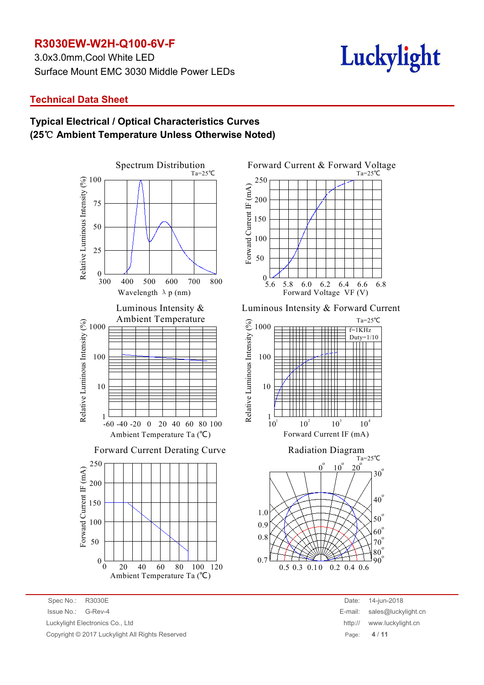3.0x3.0mm,Cool White LED Surface Mount EMC 3030 Middle Power LEDs

# Luckylight

#### **Technical Data Sheet**

# **Typical Electrical / Optical Characteristics Curves (25**℃ **Ambient Temperature Unless Otherwise Noted)**



Spec No.: R3030E Date: 14-jun-2018 Issue No.: G-Rev-4 E-mail: sales@luckylight.cn Luckylight Electronics Co., Ltd Copyright © 2017 Luckylight All Rights Reserved



Luminous Intensity & Forward Current





| Date:   | 14-jun-2018         |
|---------|---------------------|
| E-mail: | sales@luckylight.cn |
| http:// | www.luckylight.cn   |
| Page:   | 4/11                |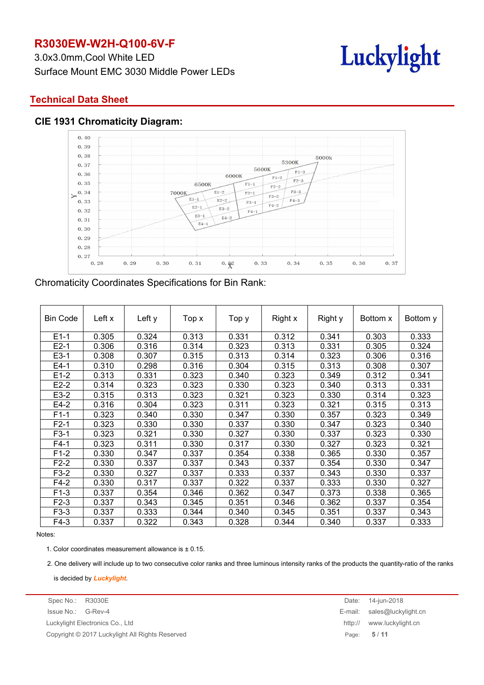3.0x3.0mm,Cool White LED Surface Mount EMC 3030 Middle Power LEDs



#### **Technical Data Sheet**





#### Chromaticity Coordinates Specifications for Bin Rank:

| Left x<br>Right x<br>Right y<br><b>Bin Code</b><br>Left y<br>Bottom x<br>Top x<br>Top y | Bottom y |
|-----------------------------------------------------------------------------------------|----------|
|                                                                                         |          |
| $E1-1$<br>0.305<br>0.324<br>0.313<br>0.331<br>0.312<br>0.341<br>0.303                   | 0.333    |
| $E2-1$<br>0.306<br>0.316<br>0.314<br>0.313<br>0.331<br>0.323<br>0.305                   | 0.324    |
| $E3-1$<br>0.308<br>0.307<br>0.315<br>0.313<br>0.314<br>0.323<br>0.306                   | 0.316    |
| $E4-1$<br>0.310<br>0.298<br>0.316<br>0.315<br>0.313<br>0.304<br>0.308                   | 0.307    |
| $E1-2$<br>0.313<br>0.331<br>0.340<br>0.323<br>0.349<br>0.312<br>0.323                   | 0.341    |
| $E2-2$<br>0.314<br>0.323<br>0.323<br>0.330<br>0.323<br>0.340<br>0.313                   | 0.331    |
| E3-2<br>0.315<br>0.313<br>0.323<br>0.321<br>0.323<br>0.330<br>0.314                     | 0.323    |
| $E4-2$<br>0.321<br>0.316<br>0.304<br>0.323<br>0.311<br>0.323<br>0.315                   | 0.313    |
| $F1-1$<br>0.323<br>0.340<br>0.330<br>0.357<br>0.330<br>0.347<br>0.323                   | 0.349    |
| $F2-1$<br>0.323<br>0.330<br>0.330<br>0.337<br>0.330<br>0.347<br>0.323                   | 0.340    |
| $F3-1$<br>0.323<br>0.321<br>0.330<br>0.327<br>0.330<br>0.337<br>0.323                   | 0.330    |
| $F4-1$<br>0.323<br>0.311<br>0.330<br>0.327<br>0.330<br>0.317<br>0.323                   | 0.321    |
| $F1-2$<br>0.347<br>0.330<br>0.337<br>0.354<br>0.338<br>0.365<br>0.330                   | 0.357    |
| $F2-2$<br>0.330<br>0.337<br>0.337<br>0.343<br>0.337<br>0.354<br>0.330                   | 0.347    |
| $F3-2$<br>0.330<br>0.327<br>0.337<br>0.333<br>0.337<br>0.343<br>0.330                   | 0.337    |
| $F4-2$<br>0.330<br>0.317<br>0.337<br>0.322<br>0.337<br>0.333<br>0.330                   | 0.327    |
| $F1-3$<br>0.337<br>0.354<br>0.362<br>0.347<br>0.373<br>0.346<br>0.338                   | 0.365    |
| $F2-3$<br>0.337<br>0.343<br>0.346<br>0.362<br>0.345<br>0.351<br>0.337                   | 0.354    |
| $F3-3$<br>0.337<br>0.333<br>0.344<br>0.340<br>0.345<br>0.351<br>0.337                   | 0.343    |
| $F4-3$<br>0.337<br>0.322<br>0.343<br>0.344<br>0.328<br>0.340<br>0.337                   | 0.333    |

#### Notes:

1. Color coordinates measurement allowance is  $\pm$  0.15.

2. One delivery will include up to two consecutive color ranks and three luminous intensity ranks of the products the quantity-ratio of the ranks

is decided by *Luckylight*.

Copyright © 2017 Luckylight All Rights Reserved Page: **5** / **11**

Spec No.: R3030E Date: 14-jun-2018 Issue No.: G-Rev-4 E-mail: sales@luckylight.cn Luckylight Electronics Co., Ltd http:// www.luckylight.cn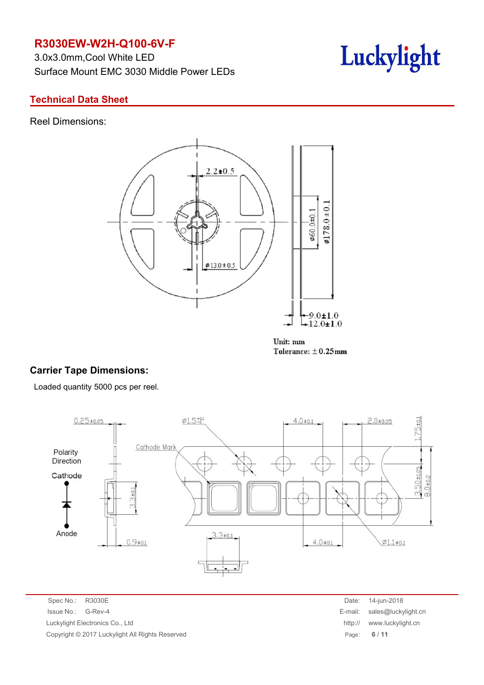3.0x3.0mm,Cool White LED Surface Mount EMC 3030 Middle Power LEDs



#### **Technical Data Sheet**

Reel Dimensions:



Unit: mm Tolerance:  $\pm$  0.25mm

## **Carrier Tape Dimensions:**

Loaded quantity 5000 pcs per reel.



Spec No.: R3030E Date: 14-jun-2018 Issue No.: G-Rev-4 E-mail: sales@luckylight.cn Luckylight Electronics Co., Ltd http:// www.luckylight.cn Copyright © 2017 Luckylight All Rights Reserved Page: **6** / **11**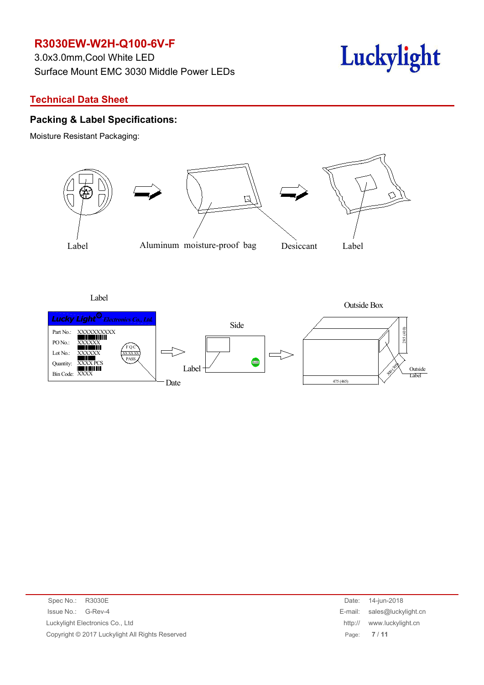3.0x3.0mm,Cool White LED Surface Mount EMC 3030 Middle Power LEDs



#### **Technical Data Sheet**

#### **Packing & Label Specifications:**

Moisture Resistant Packaging:



Label

Outside Box



| Spec No.: R3030E                                | Date: 14-jun-2018            |
|-------------------------------------------------|------------------------------|
| Issue No.: G-Rev-4                              | E-mail: sales@luckylight.cn  |
| Luckylight Electronics Co., Ltd                 | www.luckylight.cn<br>http:// |
| Copyright © 2017 Luckylight All Rights Reserved | Page: 7/11                   |
|                                                 |                              |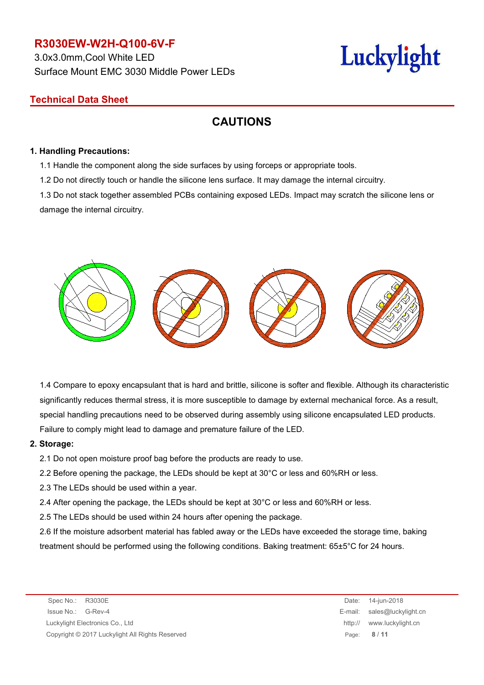3.0x3.0mm,Cool White LED Surface Mount EMC 3030 Middle Power LEDs

# Luckylight

# **Technical Data Sheet**

# **CAUTIONS**

#### **1. Handling Precautions:**

1.1 Handle the component along the side surfaces by using forceps or appropriate tools.

1.2 Do not directly touch or handle the silicone lens surface. It may damage the internal circuitry.

1.3 Do not stack together assembled PCBs containing exposed LEDs. Impact may scratch the silicone lens or damage the internal circuitry.



1.4 Compare to epoxy encapsulant that is hard and brittle, silicone is softer and flexible. Although its characteristic significantly reduces thermal stress, it is more susceptible to damage by external mechanical force. As a result, special handling precautions need to be observed during assembly using silicone encapsulated LED products. Failure to comply might lead to damage and premature failure of the LED.

#### **2. Storage:**

2.1 Do not open moisture proof bag before the products are ready to use.

- 2.2 Before opening the package, the LEDs should be kept at 30°C or less and 60%RH or less.
- 2.3 The LEDs should be used within a year.
- 2.4 After opening the package, the LEDs should be kept at 30°C or less and 60%RH or less.
- 2.5 The LEDs should be used within 24 hours after opening the package.

2.6 If the moisture adsorbent material has fabled away or the LEDs have exceeded the storage time, baking treatment should be performed using the following conditions. Baking treatment: 65±5°C for 24 hours.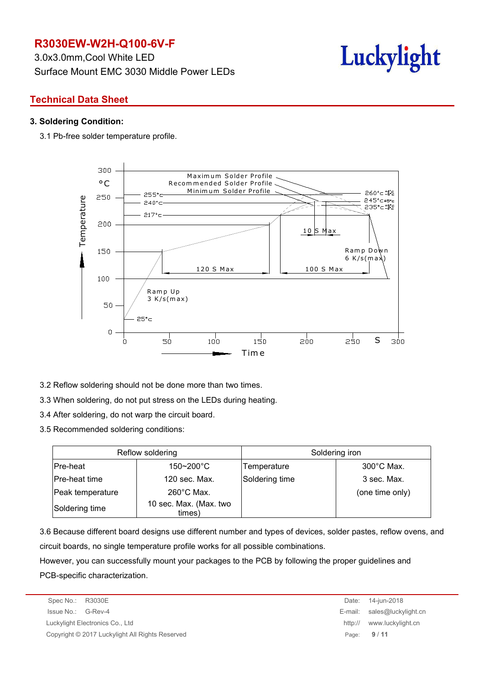3.0x3.0mm,Cool White LED Surface Mount EMC 3030 Middle Power LEDs



# **Technical Data Sheet**

#### **3. Soldering Condition:**

3.1 Pb-free solder temperature profile.



- 3.2 Reflow soldering should not be done more than two times.
- 3.3 When soldering, do not put stress on the LEDs during heating.
- 3.4 After soldering, do not warp the circuit board.
- 3.5 Recommended soldering conditions:

|                  | Reflow soldering                 | Soldering iron |                      |  |
|------------------|----------------------------------|----------------|----------------------|--|
| Pre-heat         | $150 - 200^{\circ}$ C            | Temperature    | $300^{\circ}$ C Max. |  |
| Pre-heat time    | 120 sec. Max.                    | Soldering time | 3 sec. Max.          |  |
| Peak temperature | $260^{\circ}$ C Max.             |                | (one time only)      |  |
| Soldering time   | 10 sec. Max. (Max. two<br>times) |                |                      |  |

3.6 Because different board designs use different number and types of devices, solder pastes, reflow ovens, and circuit boards, no single temperature profile works for all possible combinations.

However, you can successfully mount your packages to the PCB by following the proper guidelines and PCB-specific characterization.

Spec No.: R3030E Date: 14-jun-2018 Issue No.: G-Rev-4 E-mail: sales@luckylight.cn Luckylight Electronics Co., Ltd http:// www.luckylight.cn Copyright © 2017 Luckylight All Rights Reserved Page: **9** / **11**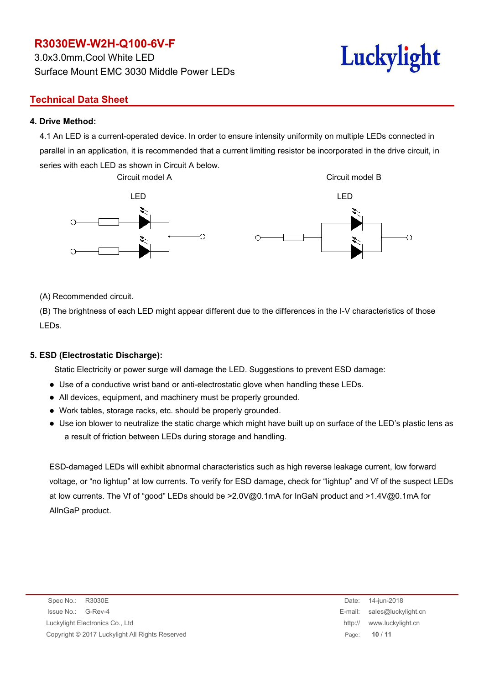3.0x3.0mm,Cool White LED Surface Mount EMC 3030 Middle Power LEDs

# **Technical Data Sheet**

#### **4. Drive Method:**

4.1 An LED is a current-operated device. In order to ensure intensity uniformity on multiple LEDs connected in parallel in an application, it is recommended that a current limiting resistor be incorporated in the drive circuit, in series with each LED as shown in Circuit A below.



(A) Recommended circuit.

(B) The brightness of each LED might appear different due to the differences in the I-V characteristics of those LEDs.

#### **5. ESD (Electrostatic Discharge):**

Static Electricity or power surge will damage the LED. Suggestions to prevent ESD damage:

- Use of a conductive wrist band or anti-electrostatic glove when handling these LEDs.
- All devices, equipment, and machinery must be properly grounded.
- Work tables, storage racks, etc. should be properly grounded.
- Use ion blower to neutralize the static charge which might have built up on surface of the LED's plastic lens as a result of friction between LEDs during storage and handling.

ESD-damaged LEDs will exhibit abnormal characteristics such as high reverse leakage current, low forward voltage, or "no lightup" at low currents. To verify for ESD damage, check for "lightup" and Vf of the suspect LEDs at low currents. The Vf of "good" LEDs should be >2.0V@0.1mA for InGaN product and >1.4V@0.1mA for AlInGaP product.